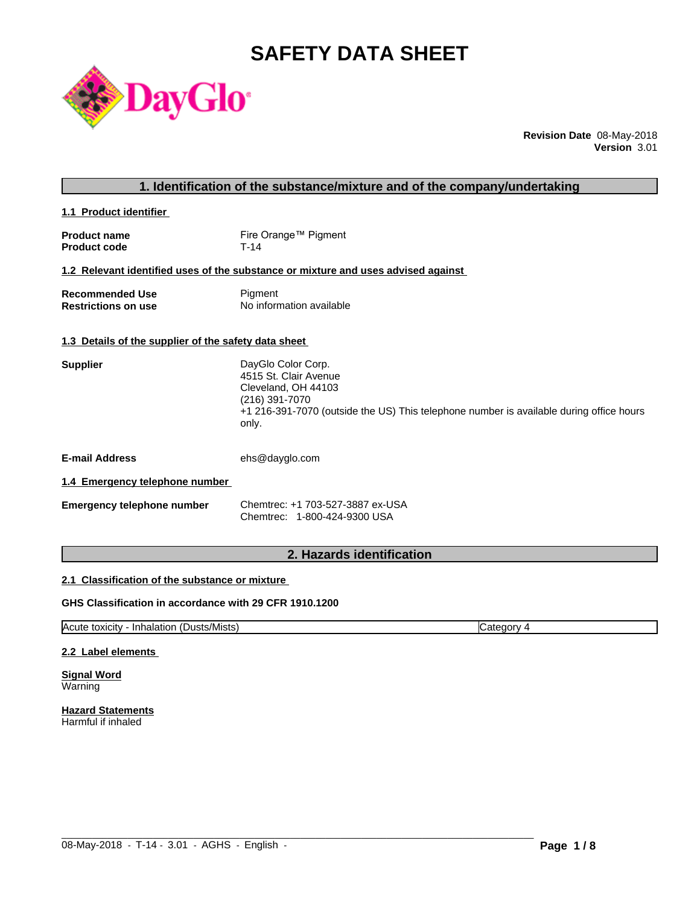# **SAFETY DATA SHEET**



**Revision Date** 08-May-2018 **Version** 3.01

| 1. Identification of the substance/mixture and of the company/undertaking |                                                                                                                                                                                          |  |
|---------------------------------------------------------------------------|------------------------------------------------------------------------------------------------------------------------------------------------------------------------------------------|--|
| 1.1 Product identifier                                                    |                                                                                                                                                                                          |  |
| <b>Product name</b><br><b>Product code</b>                                | Fire Orange™ Pigment<br>T-14                                                                                                                                                             |  |
|                                                                           | 1.2 Relevant identified uses of the substance or mixture and uses advised against                                                                                                        |  |
| <b>Recommended Use</b><br><b>Restrictions on use</b>                      | Pigment<br>No information available                                                                                                                                                      |  |
| 1.3 Details of the supplier of the safety data sheet                      |                                                                                                                                                                                          |  |
| <b>Supplier</b>                                                           | DayGlo Color Corp.<br>4515 St. Clair Avenue<br>Cleveland, OH 44103<br>(216) 391-7070<br>+1 216-391-7070 (outside the US) This telephone number is available during office hours<br>only. |  |
| <b>E-mail Address</b>                                                     | ehs@dayglo.com                                                                                                                                                                           |  |
| 1.4 Emergency telephone number                                            |                                                                                                                                                                                          |  |
| <b>Emergency telephone number</b>                                         | Chemtrec: +1 703-527-3887 ex-USA<br>Chemtrec: 1-800-424-9300 USA                                                                                                                         |  |
|                                                                           |                                                                                                                                                                                          |  |

# **2. Hazards identification**

# **2.1 Classification of the substance or mixture**

# **GHS Classification in accordance with 29 CFR 1910.1200**

Acute toxicity - Inhalation (Dusts/Mists) Category 4

 $\_$  ,  $\_$  ,  $\_$  ,  $\_$  ,  $\_$  ,  $\_$  ,  $\_$  ,  $\_$  ,  $\_$  ,  $\_$  ,  $\_$  ,  $\_$  ,  $\_$  ,  $\_$  ,  $\_$  ,  $\_$  ,  $\_$  ,  $\_$  ,  $\_$  ,  $\_$  ,  $\_$  ,  $\_$  ,  $\_$  ,  $\_$  ,  $\_$  ,  $\_$  ,  $\_$  ,  $\_$  ,  $\_$  ,  $\_$  ,  $\_$  ,  $\_$  ,  $\_$  ,  $\_$  ,  $\_$  ,  $\_$  ,  $\_$  ,

#### **2.2 Label elements**

**Signal Word** Warning

**Hazard Statements** Harmful if inhaled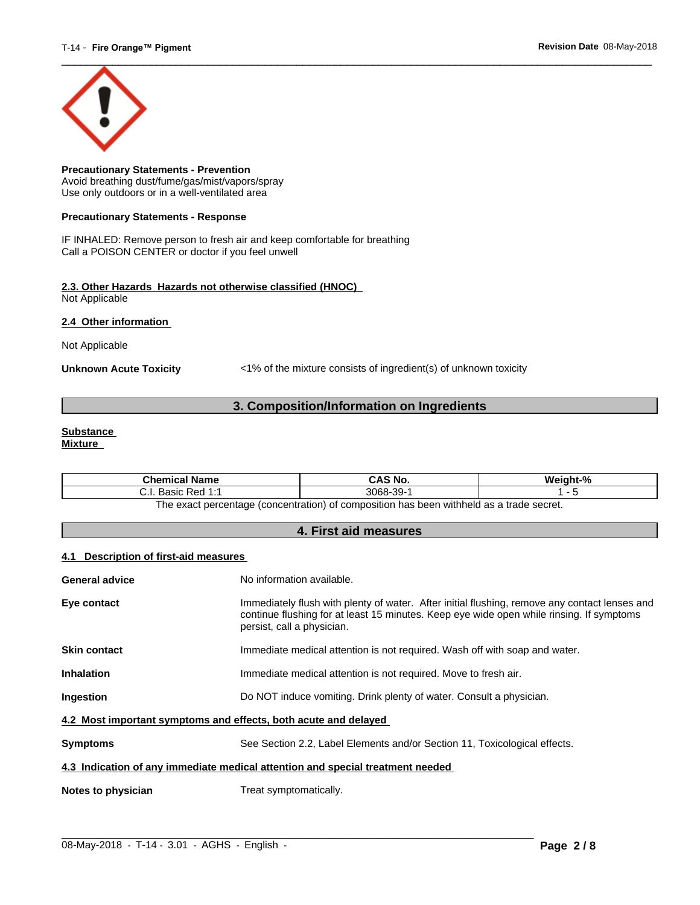

**Precautionary Statements - Prevention** Avoid breathing dust/fume/gas/mist/vapors/spray Use only outdoors or in a well-ventilated area

#### **Precautionary Statements - Response**

IF INHALED: Remove person to fresh air and keep comfortable for breathing Call a POISON CENTER or doctor if you feel unwell

### **2.3. Other Hazards Hazards not otherwise classified (HNOC)** Not Applicable

**2.4 Other information** 

Not Applicable

**Unknown Acute Toxicity** <1% of the mixture consists of ingredient(s) of unknown toxicity

# **3. Composition/Information on Ingredients**

#### **Substance Mixture**

| <b>Chemical Name</b>                                                                                  | CAS No.  | Weight-% |  |
|-------------------------------------------------------------------------------------------------------|----------|----------|--|
| Basic Red 1:1                                                                                         | 3068-39- |          |  |
| ו withheld as a trade secret.<br>The exact percentage (concentration) of composition has been $\cdot$ |          |          |  |

**4. First aid measures**

#### **4.1 Description of first-aid measures**

| <b>General advice</b>                                                          | No information available.                                                                                                                                                                                               |  |
|--------------------------------------------------------------------------------|-------------------------------------------------------------------------------------------------------------------------------------------------------------------------------------------------------------------------|--|
|                                                                                |                                                                                                                                                                                                                         |  |
| Eye contact                                                                    | Immediately flush with plenty of water. After initial flushing, remove any contact lenses and<br>continue flushing for at least 15 minutes. Keep eye wide open while rinsing. If symptoms<br>persist, call a physician. |  |
| <b>Skin contact</b>                                                            | Immediate medical attention is not required. Wash off with soap and water.                                                                                                                                              |  |
| <b>Inhalation</b>                                                              | Immediate medical attention is not required. Move to fresh air.                                                                                                                                                         |  |
| Ingestion                                                                      | Do NOT induce vomiting. Drink plenty of water. Consult a physician.                                                                                                                                                     |  |
| 4.2 Most important symptoms and effects, both acute and delayed                |                                                                                                                                                                                                                         |  |
| <b>Symptoms</b>                                                                | See Section 2.2, Label Elements and/or Section 11, Toxicological effects.                                                                                                                                               |  |
| 4.3 Indication of any immediate medical attention and special treatment needed |                                                                                                                                                                                                                         |  |
| Notes to physician                                                             | Treat symptomatically.                                                                                                                                                                                                  |  |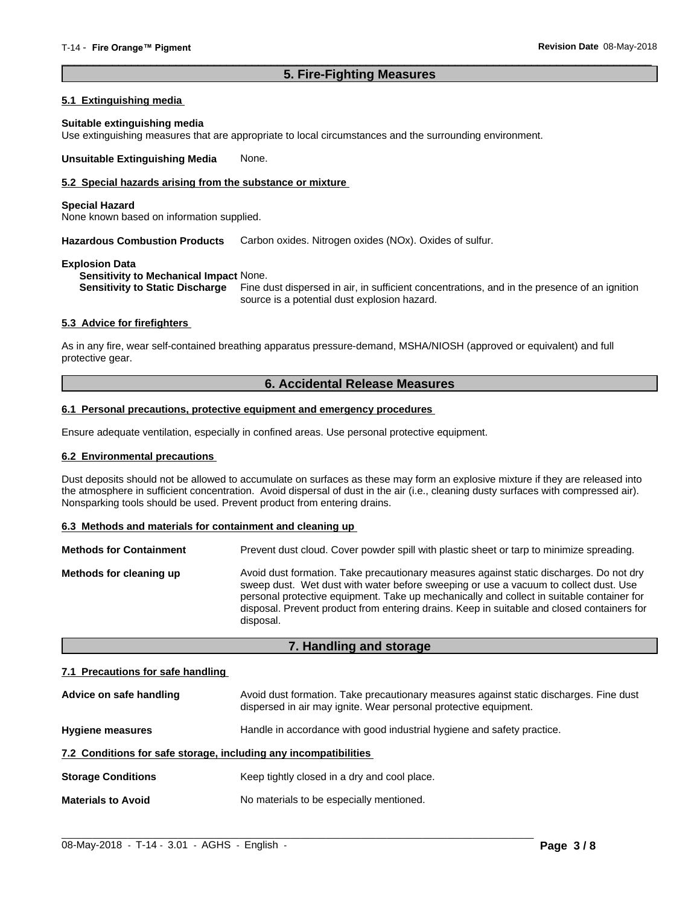# **5. Fire-Fighting Measures**

 $\overline{\phantom{a}}$  ,  $\overline{\phantom{a}}$  ,  $\overline{\phantom{a}}$  ,  $\overline{\phantom{a}}$  ,  $\overline{\phantom{a}}$  ,  $\overline{\phantom{a}}$  ,  $\overline{\phantom{a}}$  ,  $\overline{\phantom{a}}$  ,  $\overline{\phantom{a}}$  ,  $\overline{\phantom{a}}$  ,  $\overline{\phantom{a}}$  ,  $\overline{\phantom{a}}$  ,  $\overline{\phantom{a}}$  ,  $\overline{\phantom{a}}$  ,  $\overline{\phantom{a}}$  ,  $\overline{\phantom{a}}$ 

### **5.1 Extinguishing media**

#### **Suitable extinguishing media**

Use extinguishing measures that are appropriate to local circumstances and the surrounding environment.

**Unsuitable Extinguishing Media** None.

# **5.2 Special hazards arising from the substance or mixture**

#### **Special Hazard**

None known based on information supplied.

**Hazardous Combustion Products** Carbon oxides. Nitrogen oxides (NOx). Oxides of sulfur.

#### **Explosion Data**

**Sensitivity to Mechanical Impact** None.

**Sensitivity to Static Discharge** Fine dust dispersed in air, in sufficient concentrations, and in the presence of an ignition source is a potential dust explosion hazard.

#### **5.3 Advice for firefighters**

As in any fire, wear self-contained breathing apparatus pressure-demand, MSHA/NIOSH (approved or equivalent) and full protective gear.

# **6. Accidental Release Measures**

#### **6.1 Personal precautions, protective equipment and emergency procedures**

Ensure adequate ventilation, especially in confined areas. Use personal protective equipment.

#### **6.2 Environmental precautions**

Dust deposits should not be allowed to accumulate on surfaces as these may form an explosive mixture if they are released into the atmosphere in sufficient concentration. Avoid dispersal of dust in the air (i.e., cleaning dusty surfaces with compressed air). Nonsparking tools should be used. Prevent product from entering drains.

#### **6.3 Methods and materials for containment and cleaning up**

| <b>Methods for Containment</b> | Prevent dust cloud. Cover powder spill with plastic sheet or tarp to minimize spreading.                                                                                                                                                                                                                                                                                                |
|--------------------------------|-----------------------------------------------------------------------------------------------------------------------------------------------------------------------------------------------------------------------------------------------------------------------------------------------------------------------------------------------------------------------------------------|
| Methods for cleaning up        | Avoid dust formation. Take precautionary measures against static discharges. Do not dry<br>sweep dust. Wet dust with water before sweeping or use a vacuum to collect dust. Use<br>personal protective equipment. Take up mechanically and collect in suitable container for<br>disposal. Prevent product from entering drains. Keep in suitable and closed containers for<br>disposal. |

### **7. Handling and storage**

#### **7.1 Precautions for safe handling**

| Advice on safe handling                                          | Avoid dust formation. Take precautionary measures against static discharges. Fine dust<br>dispersed in air may ignite. Wear personal protective equipment. |  |
|------------------------------------------------------------------|------------------------------------------------------------------------------------------------------------------------------------------------------------|--|
| <b>Hygiene measures</b>                                          | Handle in accordance with good industrial hygiene and safety practice.                                                                                     |  |
| 7.2 Conditions for safe storage, including any incompatibilities |                                                                                                                                                            |  |
| <b>Storage Conditions</b>                                        | Keep tightly closed in a dry and cool place.                                                                                                               |  |
| <b>Materials to Avoid</b>                                        | No materials to be especially mentioned.                                                                                                                   |  |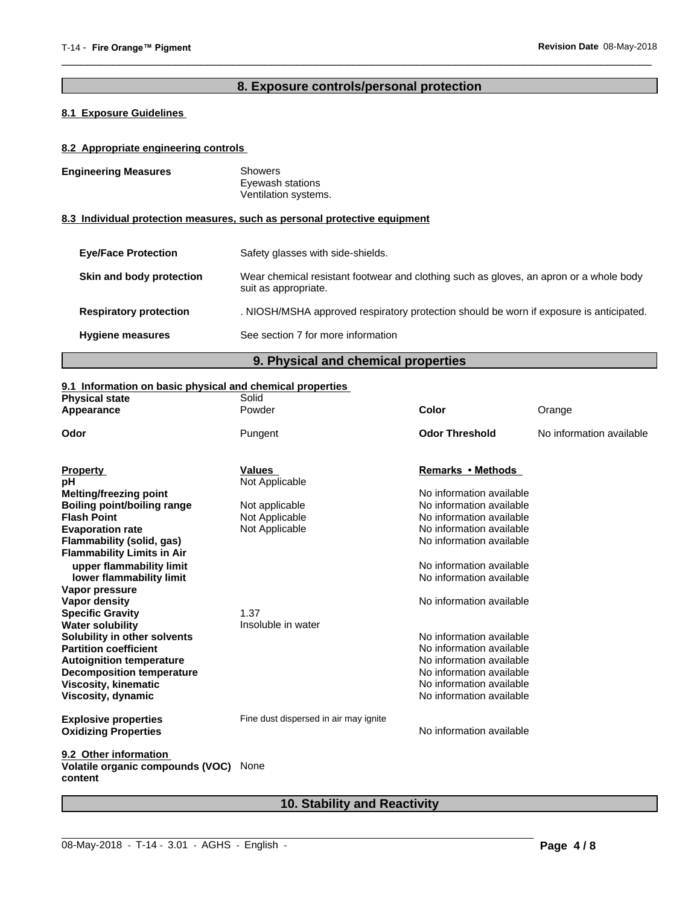# **8. Exposure controls/personal protection**

 $\overline{\phantom{a}}$  ,  $\overline{\phantom{a}}$  ,  $\overline{\phantom{a}}$  ,  $\overline{\phantom{a}}$  ,  $\overline{\phantom{a}}$  ,  $\overline{\phantom{a}}$  ,  $\overline{\phantom{a}}$  ,  $\overline{\phantom{a}}$  ,  $\overline{\phantom{a}}$  ,  $\overline{\phantom{a}}$  ,  $\overline{\phantom{a}}$  ,  $\overline{\phantom{a}}$  ,  $\overline{\phantom{a}}$  ,  $\overline{\phantom{a}}$  ,  $\overline{\phantom{a}}$  ,  $\overline{\phantom{a}}$ 

# **8.1 Exposure Guidelines**

# **8.2 Appropriate engineering controls**

| <b>Engineering Measures</b>   | <b>Showers</b><br>Eyewash stations<br>Ventilation systems.                                                     |  |
|-------------------------------|----------------------------------------------------------------------------------------------------------------|--|
|                               | 8.3 Individual protection measures, such as personal protective equipment                                      |  |
| <b>Eve/Face Protection</b>    | Safety glasses with side-shields.                                                                              |  |
| Skin and body protection      | Wear chemical resistant footwear and clothing such as gloves, an apron or a whole body<br>suit as appropriate. |  |
| <b>Respiratory protection</b> | . NIOSH/MSHA approved respiratory protection should be worn if exposure is anticipated.                        |  |
| <b>Hygiene measures</b>       | See section 7 for more information                                                                             |  |

**9. Physical and chemical properties**

# **9.1 Information on basic physical and chemical properties**

| Powder<br>Color<br>Orange<br><b>Odor Threshold</b><br>Pungent<br>No information available<br><b>Values</b><br>Remarks • Methods<br>Not Applicable<br>No information available<br>No information available<br>Not applicable<br>No information available<br>Not Applicable<br>No information available<br>Not Applicable<br>No information available<br>upper flammability limit<br>No information available<br>No information available<br>lower flammability limit<br>No information available<br>1.37<br>Insoluble in water<br>No information available<br>No information available<br>No information available<br>No information available<br>No information available<br>No information available<br>Fine dust dispersed in air may ignite<br>No information available<br>None | <b>Physical state</b>                       | Solid |  |
|------------------------------------------------------------------------------------------------------------------------------------------------------------------------------------------------------------------------------------------------------------------------------------------------------------------------------------------------------------------------------------------------------------------------------------------------------------------------------------------------------------------------------------------------------------------------------------------------------------------------------------------------------------------------------------------------------------------------------------------------------------------------------------|---------------------------------------------|-------|--|
|                                                                                                                                                                                                                                                                                                                                                                                                                                                                                                                                                                                                                                                                                                                                                                                    | Appearance                                  |       |  |
|                                                                                                                                                                                                                                                                                                                                                                                                                                                                                                                                                                                                                                                                                                                                                                                    | Odor                                        |       |  |
|                                                                                                                                                                                                                                                                                                                                                                                                                                                                                                                                                                                                                                                                                                                                                                                    | <b>Property</b>                             |       |  |
|                                                                                                                                                                                                                                                                                                                                                                                                                                                                                                                                                                                                                                                                                                                                                                                    | рH                                          |       |  |
|                                                                                                                                                                                                                                                                                                                                                                                                                                                                                                                                                                                                                                                                                                                                                                                    | <b>Melting/freezing point</b>               |       |  |
|                                                                                                                                                                                                                                                                                                                                                                                                                                                                                                                                                                                                                                                                                                                                                                                    | <b>Boiling point/boiling range</b>          |       |  |
|                                                                                                                                                                                                                                                                                                                                                                                                                                                                                                                                                                                                                                                                                                                                                                                    | <b>Flash Point</b>                          |       |  |
|                                                                                                                                                                                                                                                                                                                                                                                                                                                                                                                                                                                                                                                                                                                                                                                    | <b>Evaporation rate</b>                     |       |  |
|                                                                                                                                                                                                                                                                                                                                                                                                                                                                                                                                                                                                                                                                                                                                                                                    | Flammability (solid, gas)                   |       |  |
|                                                                                                                                                                                                                                                                                                                                                                                                                                                                                                                                                                                                                                                                                                                                                                                    | <b>Flammability Limits in Air</b>           |       |  |
|                                                                                                                                                                                                                                                                                                                                                                                                                                                                                                                                                                                                                                                                                                                                                                                    |                                             |       |  |
|                                                                                                                                                                                                                                                                                                                                                                                                                                                                                                                                                                                                                                                                                                                                                                                    |                                             |       |  |
|                                                                                                                                                                                                                                                                                                                                                                                                                                                                                                                                                                                                                                                                                                                                                                                    | Vapor pressure                              |       |  |
|                                                                                                                                                                                                                                                                                                                                                                                                                                                                                                                                                                                                                                                                                                                                                                                    | <b>Vapor density</b>                        |       |  |
|                                                                                                                                                                                                                                                                                                                                                                                                                                                                                                                                                                                                                                                                                                                                                                                    | <b>Specific Gravity</b>                     |       |  |
|                                                                                                                                                                                                                                                                                                                                                                                                                                                                                                                                                                                                                                                                                                                                                                                    | <b>Water solubility</b>                     |       |  |
|                                                                                                                                                                                                                                                                                                                                                                                                                                                                                                                                                                                                                                                                                                                                                                                    | Solubility in other solvents                |       |  |
|                                                                                                                                                                                                                                                                                                                                                                                                                                                                                                                                                                                                                                                                                                                                                                                    | <b>Partition coefficient</b>                |       |  |
|                                                                                                                                                                                                                                                                                                                                                                                                                                                                                                                                                                                                                                                                                                                                                                                    | <b>Autoignition temperature</b>             |       |  |
|                                                                                                                                                                                                                                                                                                                                                                                                                                                                                                                                                                                                                                                                                                                                                                                    | <b>Decomposition temperature</b>            |       |  |
|                                                                                                                                                                                                                                                                                                                                                                                                                                                                                                                                                                                                                                                                                                                                                                                    | <b>Viscosity, kinematic</b>                 |       |  |
|                                                                                                                                                                                                                                                                                                                                                                                                                                                                                                                                                                                                                                                                                                                                                                                    | Viscosity, dynamic                          |       |  |
|                                                                                                                                                                                                                                                                                                                                                                                                                                                                                                                                                                                                                                                                                                                                                                                    | <b>Explosive properties</b>                 |       |  |
|                                                                                                                                                                                                                                                                                                                                                                                                                                                                                                                                                                                                                                                                                                                                                                                    | <b>Oxidizing Properties</b>                 |       |  |
|                                                                                                                                                                                                                                                                                                                                                                                                                                                                                                                                                                                                                                                                                                                                                                                    | 9.2 Other information                       |       |  |
|                                                                                                                                                                                                                                                                                                                                                                                                                                                                                                                                                                                                                                                                                                                                                                                    | Volatile organic compounds (VOC)<br>content |       |  |

# **10. Stability and Reactivity**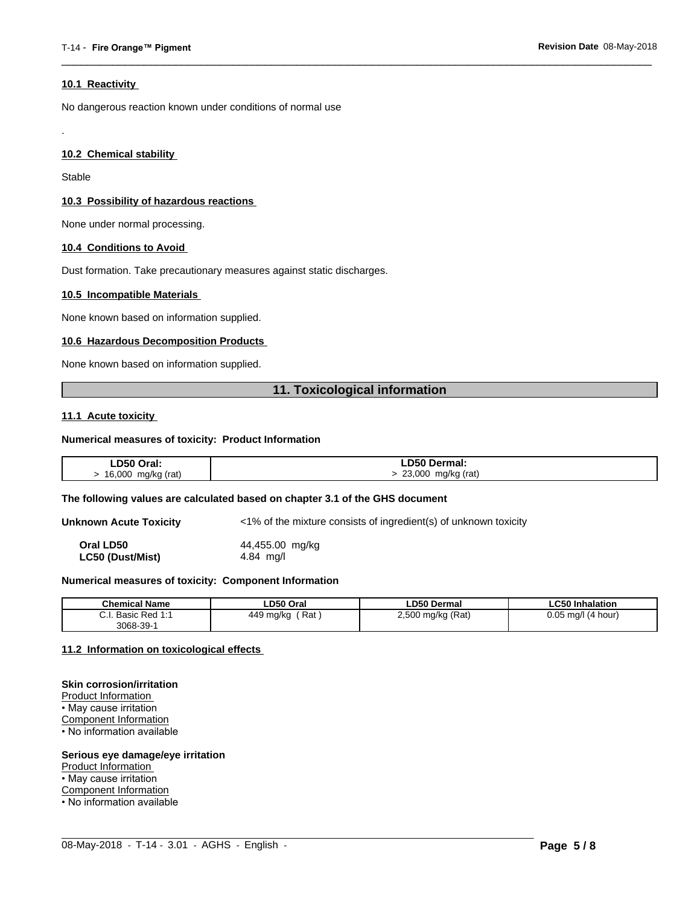#### **10.1 Reactivity**

No dangerous reaction known under conditions of normal use

#### **10.2 Chemical stability**

Stable

.

#### **10.3 Possibility of hazardous reactions**

None under normal processing.

#### **10.4 Conditions to Avoid**

Dust formation. Take precautionary measures against static discharges.

#### **10.5 Incompatible Materials**

None known based on information supplied.

#### **10.6 Hazardous Decomposition Products**

None known based on information supplied.

# **11. Toxicological information**

 $\overline{\phantom{a}}$  ,  $\overline{\phantom{a}}$  ,  $\overline{\phantom{a}}$  ,  $\overline{\phantom{a}}$  ,  $\overline{\phantom{a}}$  ,  $\overline{\phantom{a}}$  ,  $\overline{\phantom{a}}$  ,  $\overline{\phantom{a}}$  ,  $\overline{\phantom{a}}$  ,  $\overline{\phantom{a}}$  ,  $\overline{\phantom{a}}$  ,  $\overline{\phantom{a}}$  ,  $\overline{\phantom{a}}$  ,  $\overline{\phantom{a}}$  ,  $\overline{\phantom{a}}$  ,  $\overline{\phantom{a}}$ 

#### **11.1 Acute toxicity**

#### **Numerical measures of toxicity: Product Information**

| LD50 Oral:                                      | <b>LD50 Dermal:</b>   |
|-------------------------------------------------|-----------------------|
| mg/kg (rat)<br>16,000<br>$\mathbf{r}$<br>$\sim$ | 23,000<br>mg/kg (rat) |

#### **The following values are calculated based on chapter 3.1 of the GHS document**

**Unknown Acute Toxicity** <1% of the mixture consists of ingredient(s) of unknown toxicity

**Oral LD50** 44,455.00 mg/kg **LC50 (Dust/Mist)** 4.84 mg/l

#### **Numerical measures of toxicity: Component Information**

| <b>Chemical Name</b>                                                                | LD50 Oral        | <b>LD50 Dermal</b>     | <b>LC50 Inhalation</b>   |
|-------------------------------------------------------------------------------------|------------------|------------------------|--------------------------|
| $\sim$<br>$Dod$ 4.4<br><b>Dooin</b><br><b>D</b> asic<br>$\mathsf{r}$ Req.i.<br>υ.ι. | Rat<br>449 mg/kg | ) mg/kg (Rat)<br>2,500 | 0.05<br>(4 hour)<br>ma/l |
| $3068 - 39 - 7$                                                                     |                  |                        |                          |

 $\_$  ,  $\_$  ,  $\_$  ,  $\_$  ,  $\_$  ,  $\_$  ,  $\_$  ,  $\_$  ,  $\_$  ,  $\_$  ,  $\_$  ,  $\_$  ,  $\_$  ,  $\_$  ,  $\_$  ,  $\_$  ,  $\_$  ,  $\_$  ,  $\_$  ,  $\_$  ,  $\_$  ,  $\_$  ,  $\_$  ,  $\_$  ,  $\_$  ,  $\_$  ,  $\_$  ,  $\_$  ,  $\_$  ,  $\_$  ,  $\_$  ,  $\_$  ,  $\_$  ,  $\_$  ,  $\_$  ,  $\_$  ,  $\_$  ,

#### **11.2 Information on toxicologicaleffects**

#### **Skin corrosion/irritation**

Product Information • May cause irritation Component Information • No information available

#### **Serious eye damage/eye irritation**

Product Information

• May cause irritation

Component Information

• No information available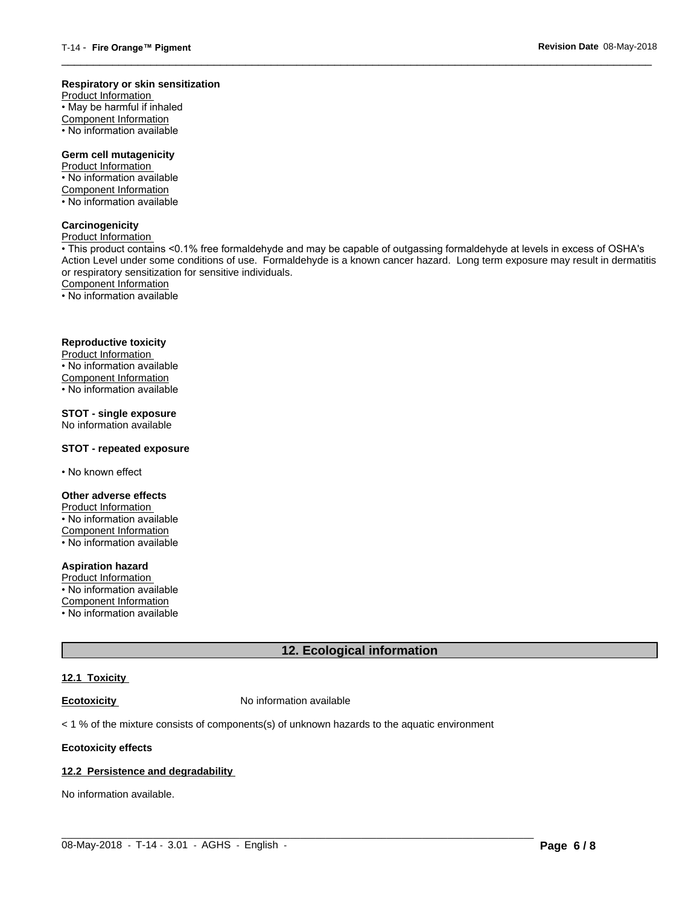#### **Respiratory or skin sensitization**

Product Information  $\overline{\cdot}$  May be harmful if inhaled Component Information • No information available

# **Germ cell mutagenicity**

Product Information • No information available Component Information • No information available

# **Carcinogenicity**

Product Information

• This product contains <0.1% free formaldehyde and may be capable of outgassing formaldehyde at levels in excess of OSHA's Action Level under some conditions of use. Formaldehyde is a known cancer hazard. Long term exposure may result in dermatitis or respiratory sensitization for sensitive individuals.Component Information

 $\overline{\phantom{a}}$  ,  $\overline{\phantom{a}}$  ,  $\overline{\phantom{a}}$  ,  $\overline{\phantom{a}}$  ,  $\overline{\phantom{a}}$  ,  $\overline{\phantom{a}}$  ,  $\overline{\phantom{a}}$  ,  $\overline{\phantom{a}}$  ,  $\overline{\phantom{a}}$  ,  $\overline{\phantom{a}}$  ,  $\overline{\phantom{a}}$  ,  $\overline{\phantom{a}}$  ,  $\overline{\phantom{a}}$  ,  $\overline{\phantom{a}}$  ,  $\overline{\phantom{a}}$  ,  $\overline{\phantom{a}}$ 

• No information available

# **Reproductive toxicity**

Product Information • No information available

Component Information

• No information available

# **STOT - single exposure**

No information available

### **STOT - repeated exposure**

• No known effect

#### **Other adverse effects**

Product Information • No information available Component Information • No information available

# **Aspiration hazard**

Product Information • No information available

Component Information

• No information available

# **12. Ecological information**

 $\_$  ,  $\_$  ,  $\_$  ,  $\_$  ,  $\_$  ,  $\_$  ,  $\_$  ,  $\_$  ,  $\_$  ,  $\_$  ,  $\_$  ,  $\_$  ,  $\_$  ,  $\_$  ,  $\_$  ,  $\_$  ,  $\_$  ,  $\_$  ,  $\_$  ,  $\_$  ,  $\_$  ,  $\_$  ,  $\_$  ,  $\_$  ,  $\_$  ,  $\_$  ,  $\_$  ,  $\_$  ,  $\_$  ,  $\_$  ,  $\_$  ,  $\_$  ,  $\_$  ,  $\_$  ,  $\_$  ,  $\_$  ,  $\_$  ,

#### **12.1 Toxicity**

**Ecotoxicity No information available** 

 $<$  1 % of the mixture consists of components(s) of unknown hazards to the aquatic environment

#### **Ecotoxicity effects**

#### **12.2 Persistence and degradability**

No information available.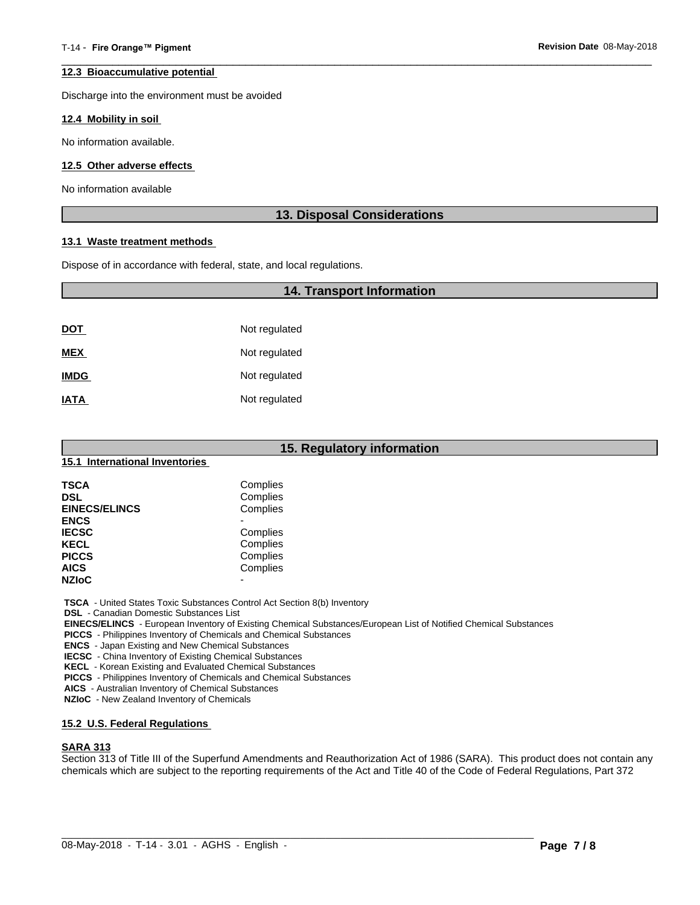#### **12.3 Bioaccumulative potential**

Discharge into the environment must be avoided

#### **12.4 Mobility in soil**

No information available.

#### **12.5 Other adverse effects**

No information available

# **13. Disposal Considerations**

 $\overline{\phantom{a}}$  ,  $\overline{\phantom{a}}$  ,  $\overline{\phantom{a}}$  ,  $\overline{\phantom{a}}$  ,  $\overline{\phantom{a}}$  ,  $\overline{\phantom{a}}$  ,  $\overline{\phantom{a}}$  ,  $\overline{\phantom{a}}$  ,  $\overline{\phantom{a}}$  ,  $\overline{\phantom{a}}$  ,  $\overline{\phantom{a}}$  ,  $\overline{\phantom{a}}$  ,  $\overline{\phantom{a}}$  ,  $\overline{\phantom{a}}$  ,  $\overline{\phantom{a}}$  ,  $\overline{\phantom{a}}$ 

#### **13.1 Waste treatment methods**

Dispose of in accordance with federal, state, and local regulations.

# **14. Transport Information**

| <u>DOT</u>  | Not regulated |
|-------------|---------------|
| <b>MEX</b>  | Not regulated |
| <b>IMDG</b> | Not regulated |
| <b>IATA</b> | Not regulated |

| 15. Regulatory information     |          |  |
|--------------------------------|----------|--|
| 15.1 International Inventories |          |  |
| <b>TSCA</b>                    | Complies |  |
| <b>DSL</b>                     | Complies |  |
| <b>EINECS/ELINCS</b>           | Complies |  |
| <b>ENCS</b>                    |          |  |
| <b>IECSC</b>                   | Complies |  |
| <b>KECL</b>                    | Complies |  |
| <b>PICCS</b>                   | Complies |  |
| <b>AICS</b>                    | Complies |  |
| <b>NZIOC</b>                   | -        |  |

 **TSCA** - United States Toxic Substances Control Act Section 8(b) Inventory

 **DSL** - Canadian Domestic Substances List

 **EINECS/ELINCS** - European Inventory of Existing Chemical Substances/European List of Notified Chemical Substances

 **PICCS** - Philippines Inventory of Chemicals and Chemical Substances

 **ENCS** - Japan Existing and New Chemical Substances

 **IECSC** - China Inventory of Existing Chemical Substances

 **KECL** - Korean Existing and Evaluated Chemical Substances

 **PICCS** - Philippines Inventory of Chemicals and Chemical Substances

 **AICS** - Australian Inventory of Chemical Substances

 **NZIoC** - New Zealand Inventory of Chemicals

#### **15.2 U.S. Federal Regulations**

#### **SARA 313**

Section 313 of Title III of the Superfund Amendments and Reauthorization Act of 1986 (SARA). This product does not contain any chemicals which are subject to the reporting requirements of the Act and Title 40 of the Code of Federal Regulations, Part 372